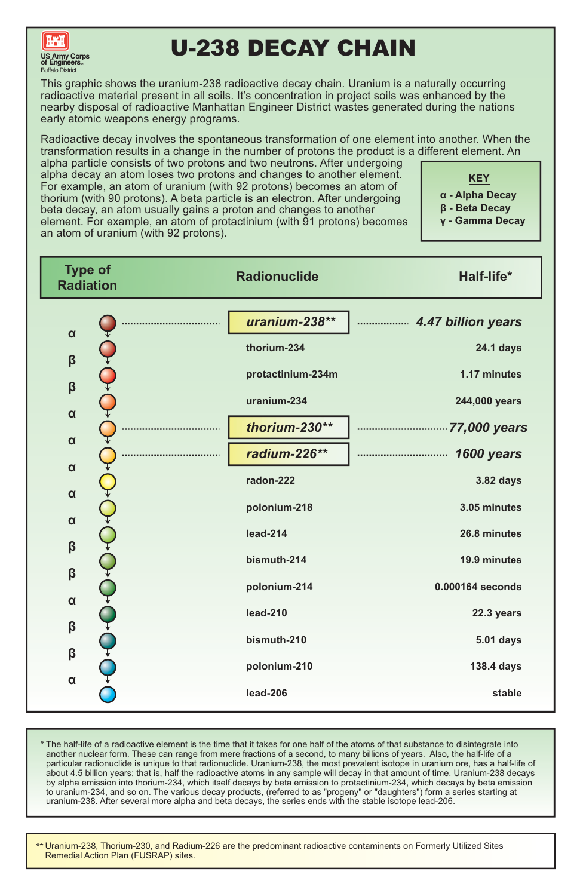\*\* Uranium-238, Thorium-230, and Radium-226 are the predominant radioactive contaminents on Formerly Utilized Sites Remedial Action Plan (FUSRAP) sites.

The half-life of a radioactive element is the time that it takes for one half of the atoms of that substance to disintegrate into \* another nuclear form. These can range from mere fractions of a second, to many billions of years. Also, the half-life of a particular radionuclide is unique to that radionuclide. Uranium-238, the most prevalent isotope in uranium ore, has a half-life of about 4.5 billion years; that is, half the radioactive atoms in any sample will decay in that amount of time. Uranium-238 decays by alpha emission into thorium-234, which itself decays by beta emission to protactinium-234, which decays by beta emission to uranium-234, and so on. The various decay products, (referred to as "progeny" or "daughters") form a series starting at uranium-238. After several more alpha and beta decays, the series ends with the stable isotope lead-206.

| <b>Type of</b><br><b>Radiation</b> | <b>Radionuclide</b> | Half-life*         |
|------------------------------------|---------------------|--------------------|
|                                    | uranium-238**       | 4.47 billion years |
| $\alpha$                           | thorium-234         | <b>24.1 days</b>   |
| $\boldsymbol{\beta}$               | protactinium-234m   | 1.17 minutes       |
| $\boldsymbol{\beta}$               | uranium-234         | 244,000 years      |
| $\alpha$<br>$\alpha$               | thorium-230**       | 77,000 years       |
| $\alpha$                           | radium-226**        | 1600 years<br>     |
| $\alpha$                           | radon-222           | <b>3.82 days</b>   |
| $\alpha$                           | polonium-218        | 3.05 minutes       |
| $\boldsymbol{\beta}$               | lead-214            | 26.8 minutes       |
| $\boldsymbol{\beta}$               | bismuth-214         | 19.9 minutes       |
| $\alpha$                           | polonium-214        | 0.000164 seconds   |
| $\boldsymbol{\beta}$               | <b>lead-210</b>     | 22.3 years         |
| $\beta$                            | bismuth-210         | <b>5.01 days</b>   |
| $\alpha$                           | polonium-210        | <b>138.4 days</b>  |
|                                    | <b>lead-206</b>     | stable             |

- **α Alpha Decay**
- **β Beta Decay**
- **γ Gamma Decay**

**KEY**

This graphic shows the uranium-238 radioactive decay chain. Uranium is a naturally occurring radioactive material present in all soils. It's concentration in project soils was enhanced by the nearby disposal of radioactive Manhattan Engineer District wastes generated during the nations early atomic weapons energy programs.

Radioactive decay involves the spontaneous transformation of one element into another. When the transformation results in a change in the number of protons the product is a different element. An

alpha particle consists of two protons and two neutrons. After undergoing alpha decay an atom loses two protons and changes to another element. For example, an atom of uranium (with 92 protons) becomes an atom of thorium (with 90 protons). A beta particle is an electron. After undergoing beta decay, an atom usually gains a proton and changes to another element. For example, an atom of protactinium (with 91 protons) becomes an atom of uranium (with 92 protons).



# U-238 DECAY CHAIN